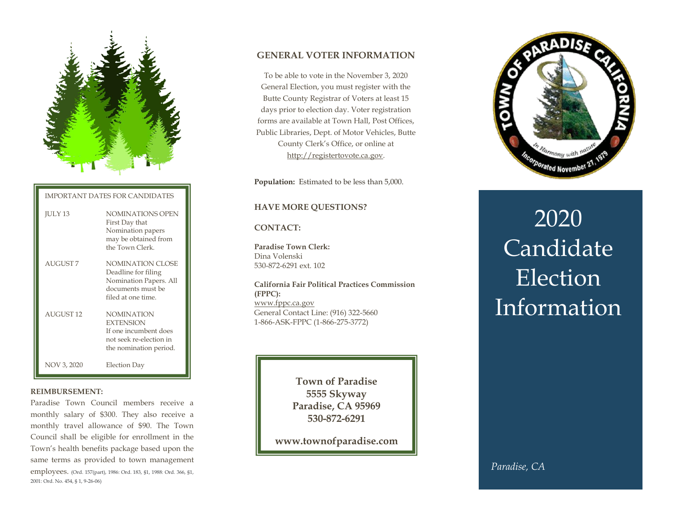

IMPORTANT DATES FOR CANDIDATES

| <b>JULY 13</b>   | NOMINATIONS OPEN<br>First Day that<br>Nomination papers<br>may be obtained from<br>the Town Clerk.                  |
|------------------|---------------------------------------------------------------------------------------------------------------------|
| <b>AUGUST7</b>   | NOMINATION CLOSE<br>Deadline for filing<br>Nomination Papers. All<br>documents must be<br>filed at one time.        |
| <b>AUGUST 12</b> | <b>NOMINATION</b><br><b>EXTENSION</b><br>If one incumbent does<br>not seek re-election in<br>the nomination period. |
| NOV 3, 2020      | Election Day                                                                                                        |

#### **REIMBURSEMENT:**

Paradise Town Council members receive a monthly salary of \$300. They also receive a monthly travel allowance of \$90. The Town Council shall be eligible for enrollment in the Town's health benefits package based upon the same terms as provided to town management employees. (Ord. 157(part), 1986: Ord. 183, §1, 1988: Ord. 366, §1, 2001: Ord. No. 454, § 1, 9-26-06)

# **GENERAL VOTER INFORMATION**

To be able to vote in the November 3, 2020 General Election, you must register with the Butte County Registrar of Voters at least 15 days prior to election day. Voter registration forms are available at Town Hall, Post Offices, Public Libraries, Dept. of Motor Vehicles, Butte County Clerk's Office, or online at [http://registertovote.ca.gov.](http://registertovote.ca.gov/)

**Population:** Estimated to be less than 5,000.

## **HAVE MORE QUESTIONS?**

## **CONTACT:**

**Paradise Town Clerk:**  Dina Volenski 530-872-6291 ext. 102

**California Fair Political Practices Commission (FPPC):** [www.fppc.ca.gov](http://www.fppc.ca.gov/) General Contact Line: (916) 322-5660 1-866-ASK-FPPC (1-866-275-3772)

> **Town of Paradise 5555 Skyway Paradise, CA 95969 530-872-6291**

**www.townofparadise.com**



# 2020 Candidate **Election Information**

*Paradise, CA*